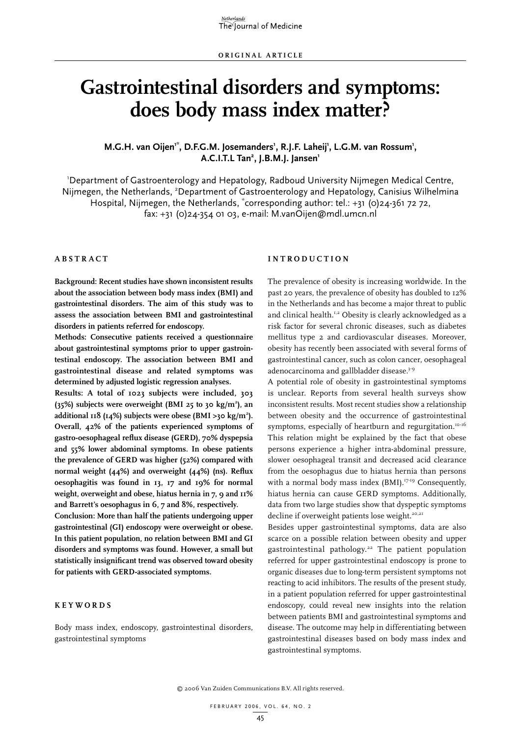# **Gastrointestinal disorders and symptoms: does body mass index matter?**

### M.G.H. van Oijen<sup>1\*</sup>, D.F.G.M. Josemanders<sup>1</sup>, R.J.F. Laheij<sup>1</sup>, L.G.M. van Rossum<sup>1</sup>, **A.C.I.T.L Tan2 , J.B.M.J. Jansen1**

1 Department of Gastroenterology and Hepatology, Radboud University Nijmegen Medical Centre, Nijmegen, the Netherlands, <sup>2</sup>Department of Gastroenterology and Hepatology, Canisius Wilhelmina Hospital, Nijmegen, the Netherlands, \*corresponding author: tel.: +31 (0)24-361 72 72, fax: +31 (0)24-354 01 03, e-mail: M.vanOijen@mdl.umcn.nl

#### **A b s t r act**

**Background: Recent studies have shown inconsistent results about the association between body mass index (BMI) and gastrointestinal disorders. The aim of this study was to assess the association between BMI and gastrointestinal disorders in patients referred for endoscopy.**

**Methods: Consecutive patients received a questionnaire about gastrointestinal symptoms prior to upper gastrointestinal endoscopy. The association between BMI and gastrointestinal disease and related symptoms was determined by adjusted logistic regression analyses.**

**Results: A total of 1023 subjects were included, 303 (35%) subjects were overweight (BMI 25 to 30 kg/m2 ), an additional 118 (14%) subjects were obese (BMI >30 kg/m2 ). Overall, 42% of the patients experienced symptoms of gastro-oesophageal reflux disease (GERD), 70% dyspepsia and 55% lower abdominal symptoms. In obese patients the prevalence of GERD was higher (52%) compared with normal weight (44%) and overweight (44%) (ns). Reflux oesophagitis was found in 13, 17 and 19% for normal weight, overweight and obese, hiatus hernia in 7, 9 and 11% and Barrett's oesophagus in 6, 7 and 8%, respectively.**

**Conclusion: More than half the patients undergoing upper gastrointestinal (GI) endoscopy were overweight or obese. In this patient population, no relation between BMI and GI disorders and symptoms was found. However, a small but statistically insignificant trend was observed toward obesity for patients with GERD-associated symptoms.**

#### **K e y w o r d s**

Body mass index, endoscopy, gastrointestinal disorders, gastrointestinal symptoms

#### **Int r o d u ct i o n**

The prevalence of obesity is increasing worldwide. In the past 20 years, the prevalence of obesity has doubled to 12% in the Netherlands and has become a major threat to public and clinical health.<sup>1,2</sup> Obesity is clearly acknowledged as a risk factor for several chronic diseases, such as diabetes mellitus type 2 and cardiovascular diseases. Moreover, obesity has recently been associated with several forms of gastrointestinal cancer, such as colon cancer, oesophageal adenocarcinoma and gallbladder disease.<sup>3-9</sup>

A potential role of obesity in gastrointestinal symptoms is unclear. Reports from several health surveys show inconsistent results. Most recent studies show a relationship between obesity and the occurrence of gastrointestinal symptoms, especially of heartburn and regurgitation.<sup>10-16</sup> This relation might be explained by the fact that obese persons experience a higher intra-abdominal pressure, slower oesophageal transit and decreased acid clearance from the oesophagus due to hiatus hernia than persons with a normal body mass index (BMI).<sup>17-19</sup> Consequently, hiatus hernia can cause GERD symptoms. Additionally, data from two large studies show that dyspeptic symptoms decline if overweight patients lose weight.<sup>20,21</sup>

Besides upper gastrointestinal symptoms, data are also scarce on a possible relation between obesity and upper gastrointestinal pathology.22 The patient population referred for upper gastrointestinal endoscopy is prone to organic diseases due to long-term persistent symptoms not reacting to acid inhibitors. The results of the present study, in a patient population referred for upper gastrointestinal endoscopy, could reveal new insights into the relation between patients BMI and gastrointestinal symptoms and disease. The outcome may help in differentiating between gastrointestinal diseases based on body mass index and gastrointestinal symptoms.

<sup>© 2006</sup> Van Zuiden Communications B.V. All rights reserved.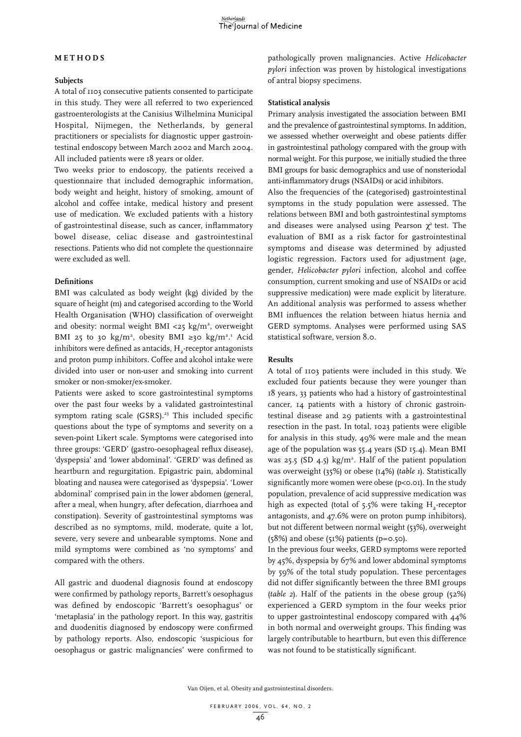#### **M et h o d s**

#### **Subjects**

A total of 1103 consecutive patients consented to participate in this study. They were all referred to two experienced gastroenterologists at the Canisius Wilhelmina Municipal Hospital, Nijmegen, the Netherlands, by general practitioners or specialists for diagnostic upper gastrointestinal endoscopy between March 2002 and March 2004. All included patients were 18 years or older.

Two weeks prior to endoscopy, the patients received a questionnaire that included demographic information, body weight and height, history of smoking, amount of alcohol and coffee intake, medical history and present use of medication. We excluded patients with a history of gastrointestinal disease, such as cancer, inflammatory bowel disease, celiac disease and gastrointestinal resections. Patients who did not complete the questionnaire were excluded as well.

#### **Definitions**

BMI was calculated as body weight (kg) divided by the square of height (m) and categorised according to the World Health Organisation (WHO) classification of overweight and obesity: normal weight BMI <25  $kg/m<sup>2</sup>$ , overweight BMI 25 to 30 kg/m<sup>2</sup>, obesity BMI ≥30 kg/m<sup>21</sup>. Acid inhibitors were defined as antacids, H<sub>2</sub>-receptor antagonists and proton pump inhibitors. Coffee and alcohol intake were divided into user or non-user and smoking into current smoker or non-smoker/ex-smoker.

Patients were asked to score gastrointestinal symptoms over the past four weeks by a validated gastrointestinal symptom rating scale (GSRS).<sup>23</sup> This included specific questions about the type of symptoms and severity on a seven-point Likert scale. Symptoms were categorised into three groups: 'GERD' (gastro-oesophageal reflux disease), 'dyspepsia' and 'lower abdominal'. 'GERD' was defined as heartburn and regurgitation. Epigastric pain, abdominal bloating and nausea were categorised as 'dyspepsia'. 'Lower abdominal' comprised pain in the lower abdomen (general, after a meal, when hungry, after defecation, diarrhoea and constipation). Severity of gastrointestinal symptoms was described as no symptoms, mild, moderate, quite a lot, severe, very severe and unbearable symptoms. None and mild symptoms were combined as 'no symptoms' and compared with the others.

All gastric and duodenal diagnosis found at endoscopy were confirmed by pathology reports. Barrett's oesophagus was defined by endoscopic 'Barrett's oesophagus' or 'metaplasia' in the pathology report. In this way, gastritis and duodenitis diagnosed by endoscopy were confirmed by pathology reports. Also, endoscopic 'suspicious for oesophagus or gastric malignancies' were confirmed to

pathologically proven malignancies. Active *Helicobacter pylori* infection was proven by histological investigations of antral biopsy specimens.

#### **Statistical analysis**

Primary analysis investigated the association between BMI and the prevalence of gastrointestinal symptoms. In addition, we assessed whether overweight and obese patients differ in gastrointestinal pathology compared with the group with normal weight. For this purpose, we initially studied the three BMI groups for basic demographics and use of nonsteriodal anti-inflammatory drugs (NSAIDs) or acid inhibitors.

Also the frequencies of the (categorised) gastrointestinal symptoms in the study population were assessed. The relations between BMI and both gastrointestinal symptoms and diseases were analysed using Pearson  $\chi^2$  test. The evaluation of BMI as a risk factor for gastrointestinal symptoms and disease was determined by adjusted logistic regression. Factors used for adjustment (age, gender, *Helicobacter pylori* infection, alcohol and coffee consumption, current smoking and use of NSAIDs or acid suppressive medication) were made explicit by literature. An additional analysis was performed to assess whether BMI influences the relation between hiatus hernia and GERD symptoms. Analyses were performed using SAS statistical software, version 8.0.

#### **Results**

A total of 1103 patients were included in this study. We excluded four patients because they were younger than 18 years, 33 patients who had a history of gastrointestinal cancer, 14 patients with a history of chronic gastrointestinal disease and 29 patients with a gastrointestinal resection in the past. In total, 1023 patients were eligible for analysis in this study, 49% were male and the mean age of the population was 55.4 years (SD 15.4). Mean BMI was 25.5 (SD 4.5)  $\text{kg/m}^2$ . Half of the patient population was overweight (35%) or obese (14%) (*table 1*). Statistically significantly more women were obese (p<0.01). In the study population, prevalence of acid suppressive medication was high as expected (total of  $5.5\%$  were taking H<sub>2</sub>-receptor antagonists, and 47.6% were on proton pump inhibitors), but not different between normal weight (53%), overweight ( $58\%$ ) and obese ( $51\%$ ) patients ( $p=0.50$ ).

In the previous four weeks, GERD symptoms were reported by 45%, dyspepsia by 67% and lower abdominal symptoms by 59% of the total study population. These percentages did not differ significantly between the three BMI groups (*table 2*). Half of the patients in the obese group (52%) experienced a GERD symptom in the four weeks prior to upper gastrointestinal endoscopy compared with 44% in both normal and overweight groups. This finding was largely contributable to heartburn, but even this difference was not found to be statistically significant.

Van Oijen, et al. Obesity and gastrointestinal disorders.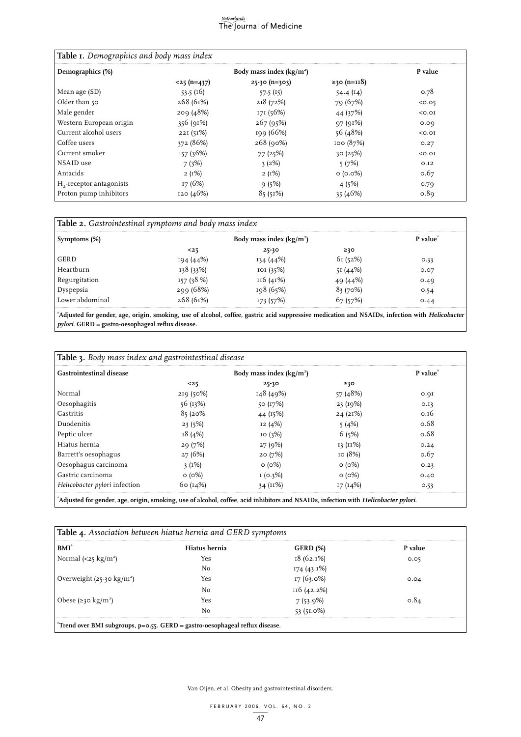## $\frac{Netherlands}{The$  )<br>The )ournal of Medicine

| Table I. Demographics and body mass index |                           |                |                |         |
|-------------------------------------------|---------------------------|----------------|----------------|---------|
| Demographics (%)                          | Body mass index $(kg/m2)$ |                |                | P value |
|                                           | $<$ 25 (n=437)            | $25-30(n=303)$ | $≥30 (n=118)$  |         |
| Mean age (SD)                             | 53.5(16)                  | 57.5(15)       | 54.4 $(I4)$    | 0.78    |
| Older than 50                             | 268(61%)                  | 218(72%)       | 79 (67%)       | 0.05    |
| Male gender                               | 209(48%)                  | 171 (56%)      | 44 (37%)       | < 0.01  |
| Western European origin                   | 356(91%)                  | 267(95%)       | 97(91%)        | 0.09    |
| Current alcohol users                     | 22I(51%)                  | 199 (66%)      | 56 (48%)       | < 0.01  |
| Coffee users                              | 372 (86%)                 | 268(90%)       | 100(87%)       | 0.27    |
| Current smoker                            | 157(36%)                  | 77(25%)        | 30(25%)        | < 0.01  |
| NSAID use                                 | 7(3%)                     | 3(2%)          | 5(7%)          | O.I2    |
| Antacids                                  | $2(1\%)$                  | 2(1%)          | $\circ$ (0.0%) | 0.67    |
| $H2$ -receptor antagonists                | 17(6%)                    | 9(5%)          | 4(5%)          | 0.79    |
| Proton pump inhibitors                    | 120(46%)                  | 85(51%)        | 35(46%)        | 0.89    |

| Symptoms (%)    | Body mass index $(kg/m2)$ |           |          | P value <sup>"</sup> |
|-----------------|---------------------------|-----------|----------|----------------------|
|                 | <25                       | $25 - 30$ | ≥30      |                      |
| GERD            | 194 (44%)                 | 134 (44%) | 61(52%)  | 0.33                 |
| ∣ Heartburn     | 138 (33%)                 | IOI (35%) | 51 (44%) | 0.07                 |
| Regurgitation ا | 157 (38 %)                | 116(41%)  | 49 (44%) | 0.49                 |
| Dyspepsia       | 299 (68%)                 | 198 (65%) | 83(70%)  | 0.54                 |
| Lower abdominal | 268 (61%)                 | 173 (57%) | 57 (57%) | 0.44                 |

**Adjusted for gender, age, origin, smoking, use of alcohol, coffee, gastric acid suppressive medication and NSAIDs, infection with Helicobacter pylori. GERD = gastro-oesophageal reflux disease.**

| <b>Table 3.</b> Body mass index and gastrointestinal disease                                                                       |                           |              |              |                      |
|------------------------------------------------------------------------------------------------------------------------------------|---------------------------|--------------|--------------|----------------------|
| <b>Gastrointestinal disease</b>                                                                                                    | Body mass index $(kg/m2)$ |              |              | P value <sup>*</sup> |
|                                                                                                                                    | $25$                      | $25 - 30$    | ≥30          |                      |
| Normal                                                                                                                             | 219(50%)                  | 148 (49%)    | 57 (48%)     | 0.9I                 |
| Oesophagitis                                                                                                                       | 56(13%)                   | 50 (17%)     | 23(19%)      | 0.13                 |
| Gastritis                                                                                                                          | 85(20%                    | 44 (15%)     | 24(21%)      | 0.16                 |
| Duodenitis                                                                                                                         | 23(5%)                    | 12(4%)       | 5(4%)        | 0.68                 |
| Peptic ulcer                                                                                                                       | 18(4%)                    | IO(3%)       | 6(5%)        | 0.68                 |
| Hiatus hernia                                                                                                                      | 29(7%)                    | 27(9%)       | 13 (11%)     | 0.24                 |
| Barrett's oesophagus                                                                                                               | 27(6%)                    | 20(7%)       | 10(8%)       | 0.67                 |
| Oesophagus carcinoma                                                                                                               | $3(1\%)$                  | $\circ$ (0%) | $\circ$ (0%) | 0.23                 |
| Gastric carcinoma                                                                                                                  | $\circ$ (0%)              | I(0.3%)      | $\circ$ (0%) | 0.40                 |
| Helicobacter pylori infection                                                                                                      | 60(14%)                   | 34(11%)      | 17(14%)      | 0.53                 |
| Adjusted for gender, age, origin, smoking, use of alcohol, coffee, acid inhibitors and NSAIDs, infection with Helicobacter pylori. |                           |              |              |                      |

| BMI <sup>*</sup>                            | Hiatus hernia | <b>GERD</b> (%) | P value |
|---------------------------------------------|---------------|-----------------|---------|
| Normal $\left( < 25 \text{ kg/m}^2 \right)$ | Yes           | 18 (62.1%)      | 0.05    |
|                                             | No            | 174 (43.1%)     |         |
| Overweight $(25-30 \text{ kg/m}^2)$         | Yes           | 17 (63.0%)      | 0.04    |
|                                             | No            | II6 (42.2%)     |         |
| Obese $(\geq 30 \text{ kg/m}^2)$            | Yes           | $7(53.9\%)$     |         |
|                                             | No            | 53(51.0%)       |         |

Van Oijen, et al. Obesity and gastrointestinal disorders.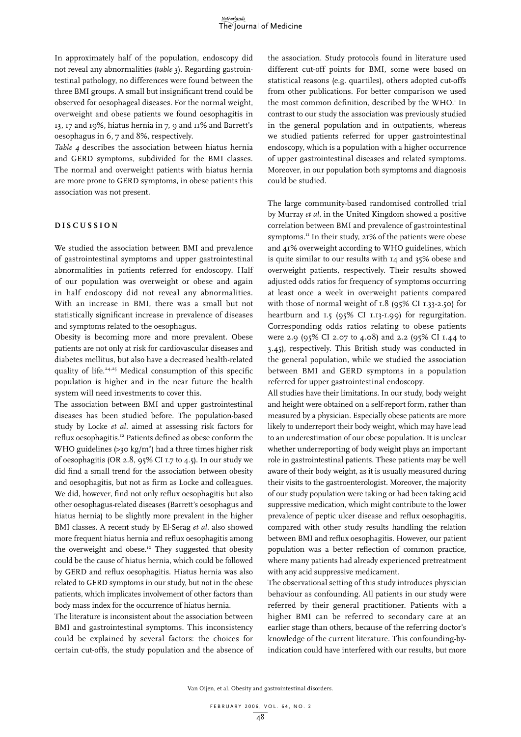In approximately half of the population, endoscopy did not reveal any abnormalities (*table 3*). Regarding gastrointestinal pathology, no differences were found between the three BMI groups. A small but insignificant trend could be observed for oesophageal diseases. For the normal weight, overweight and obese patients we found oesophagitis in 13, 17 and 19%, hiatus hernia in 7, 9 and 11% and Barrett's oesophagus in 6, 7 and 8%, respectively.

*Table 4* describes the association between hiatus hernia and GERD symptoms, subdivided for the BMI classes. The normal and overweight patients with hiatus hernia are more prone to GERD symptoms, in obese patients this association was not present.

#### **D i s c u s s i o n**

We studied the association between BMI and prevalence of gastrointestinal symptoms and upper gastrointestinal abnormalities in patients referred for endoscopy. Half of our population was overweight or obese and again in half endoscopy did not reveal any abnormalities. With an increase in BMI, there was a small but not statistically significant increase in prevalence of diseases and symptoms related to the oesophagus.

Obesity is becoming more and more prevalent. Obese patients are not only at risk for cardiovascular diseases and diabetes mellitus, but also have a decreased health-related quality of life.<sup>24,25</sup> Medical consumption of this specific population is higher and in the near future the health system will need investments to cover this.

The association between BMI and upper gastrointestinal diseases has been studied before. The population-based study by Locke *et al.* aimed at assessing risk factors for reflux oesophagitis.12 Patients defined as obese conform the WHO guidelines (>30  $kg/m<sup>2</sup>$ ) had a three times higher risk of oesophagitis (OR 2.8, 95% CI 1.7 to 4.5). In our study we did find a small trend for the association between obesity and oesophagitis, but not as firm as Locke and colleagues. We did, however, find not only reflux oesophagitis but also other oesophagus-related diseases (Barrett's oesophagus and hiatus hernia) to be slightly more prevalent in the higher BMI classes. A recent study by El-Serag *et al.* also showed more frequent hiatus hernia and reflux oesophagitis among the overweight and obese.<sup>10</sup> They suggested that obesity could be the cause of hiatus hernia, which could be followed by GERD and reflux oesophagitis. Hiatus hernia was also related to GERD symptoms in our study, but not in the obese patients, which implicates involvement of other factors than body mass index for the occurrence of hiatus hernia.

The literature is inconsistent about the association between BMI and gastrointestinal symptoms. This inconsistency could be explained by several factors: the choices for certain cut-offs, the study population and the absence of

the association. Study protocols found in literature used different cut-off points for BMI, some were based on statistical reasons (e.g. quartiles), others adopted cut-offs from other publications. For better comparison we used the most common definition, described by the WHO.<sup>1</sup> In contrast to our study the association was previously studied in the general population and in outpatients, whereas we studied patients referred for upper gastrointestinal endoscopy, which is a population with a higher occurrence of upper gastrointestinal diseases and related symptoms. Moreover, in our population both symptoms and diagnosis could be studied.

The large community-based randomised controlled trial by Murray *et al.* in the United Kingdom showed a positive correlation between BMI and prevalence of gastrointestinal symptoms.<sup>11</sup> In their study, 21% of the patients were obese and 41% overweight according to WHO guidelines, which is quite similar to our results with 14 and 35% obese and overweight patients, respectively. Their results showed adjusted odds ratios for frequency of symptoms occurring at least once a week in overweight patients compared with those of normal weight of 1.8 (95% CI 1.33-2.50) for heartburn and 1.5 (95% CI 1.13-1.99) for regurgitation. Corresponding odds ratios relating to obese patients were 2.9 (95% CI 2.07 to 4.08) and 2.2 (95% CI 1.44 to 3.45), respectively. This British study was conducted in the general population, while we studied the association between BMI and GERD symptoms in a population referred for upper gastrointestinal endoscopy.

All studies have their limitations. In our study, body weight and height were obtained on a self-report form, rather than measured by a physician. Especially obese patients are more likely to underreport their body weight, which may have lead to an underestimation of our obese population. It is unclear whether underreporting of body weight plays an important role in gastrointestinal patients. These patients may be well aware of their body weight, as it is usually measured during their visits to the gastroenterologist. Moreover, the majority of our study population were taking or had been taking acid suppressive medication, which might contribute to the lower prevalence of peptic ulcer disease and reflux oesophagitis, compared with other study results handling the relation between BMI and reflux oesophagitis. However, our patient population was a better reflection of common practice, where many patients had already experienced pretreatment with any acid suppressive medicament.

The observational setting of this study introduces physician behaviour as confounding. All patients in our study were referred by their general practitioner. Patients with a higher BMI can be referred to secondary care at an earlier stage than others, because of the referring doctor's knowledge of the current literature. This confounding-byindication could have interfered with our results, but more